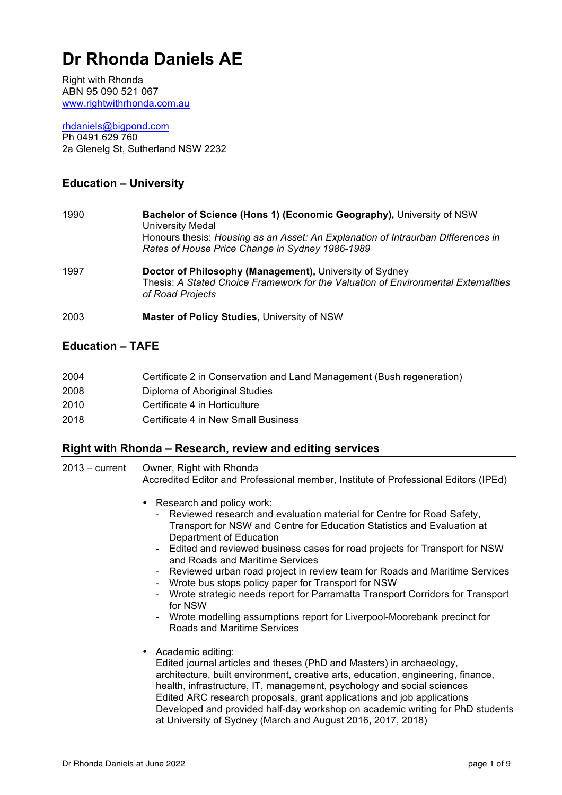# **Dr Rhonda Daniels AE**

Right with Rhonda ABN 95 090 521 067 www.rightwithrhonda.com.au

rhdaniels@bigpond.com Ph 0491 629 760 2a Glenelg St, Sutherland NSW 2232

# **Education – University**

| 1990 | Bachelor of Science (Hons 1) (Economic Geography), University of NSW<br>University Medal<br>Honours thesis: Housing as an Asset: An Explanation of Intraurban Differences in<br>Rates of House Price Change in Sydney 1986-1989 |
|------|---------------------------------------------------------------------------------------------------------------------------------------------------------------------------------------------------------------------------------|
| 1997 | Doctor of Philosophy (Management), University of Sydney<br>Thesis: A Stated Choice Framework for the Valuation of Environmental Externalities<br>of Road Projects                                                               |
| 2003 | <b>Master of Policy Studies, University of NSW</b>                                                                                                                                                                              |

# **Education – TAFE**

| 2004 | Certificate 2 in Conservation and Land Management (Bush regeneration) |
|------|-----------------------------------------------------------------------|
| 2008 | Diploma of Aboriginal Studies                                         |
| 2010 | Certificate 4 in Horticulture                                         |
| 2018 | Certificate 4 in New Small Business                                   |

# **Right with Rhonda – Research, review and editing services**

#### 2013 – current Owner, Right with Rhonda Accredited Editor and Professional member, Institute of Professional Editors (IPEd)

- Research and policy work:
	- Reviewed research and evaluation material for Centre for Road Safety, Transport for NSW and Centre for Education Statistics and Evaluation at Department of Education
	- Edited and reviewed business cases for road projects for Transport for NSW and Roads and Maritime Services
	- Reviewed urban road project in review team for Roads and Maritime Services
	- Wrote bus stops policy paper for Transport for NSW
	- Wrote strategic needs report for Parramatta Transport Corridors for Transport for NSW
	- Wrote modelling assumptions report for Liverpool-Moorebank precinct for Roads and Maritime Services
- Academic editing:

Edited journal articles and theses (PhD and Masters) in archaeology, architecture, built environment, creative arts, education, engineering, finance, health, infrastructure, IT, management, psychology and social sciences Edited ARC research proposals, grant applications and job applications Developed and provided half-day workshop on academic writing for PhD students at University of Sydney (March and August 2016, 2017, 2018)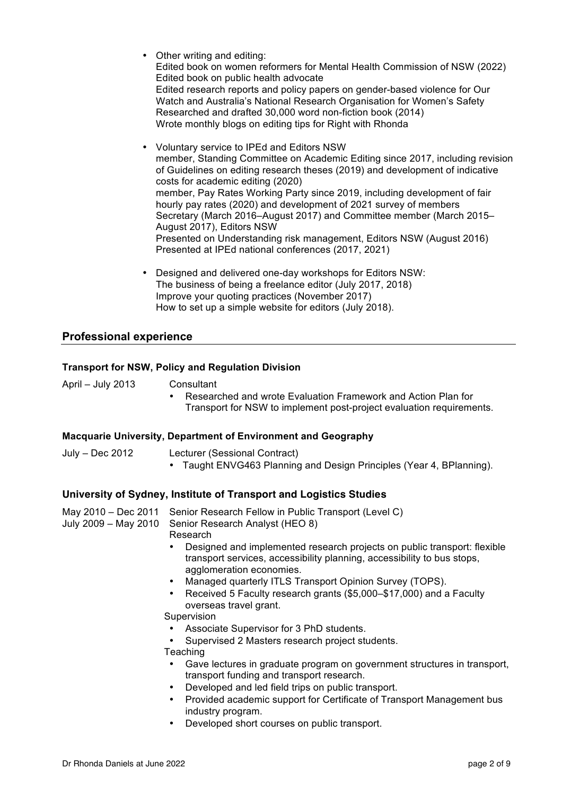- Other writing and editing: Edited book on women reformers for Mental Health Commission of NSW (2022) Edited book on public health advocate Edited research reports and policy papers on gender-based violence for Our Watch and Australia's National Research Organisation for Women's Safety Researched and drafted 30,000 word non-fiction book (2014) Wrote monthly blogs on editing tips for Right with Rhonda
- Voluntary service to IPEd and Editors NSW member, Standing Committee on Academic Editing since 2017, including revision of Guidelines on editing research theses (2019) and development of indicative costs for academic editing (2020) member, Pay Rates Working Party since 2019, including development of fair hourly pay rates (2020) and development of 2021 survey of members Secretary (March 2016–August 2017) and Committee member (March 2015– August 2017), Editors NSW Presented on Understanding risk management, Editors NSW (August 2016) Presented at IPEd national conferences (2017, 2021)
- Designed and delivered one-day workshops for Editors NSW: The business of being a freelance editor (July 2017, 2018) Improve your quoting practices (November 2017) How to set up a simple website for editors (July 2018).

# **Professional experience**

#### **Transport for NSW, Policy and Regulation Division**

April – July 2013 Consultant

• Researched and wrote Evaluation Framework and Action Plan for Transport for NSW to implement post-project evaluation requirements.

#### **Macquarie University, Department of Environment and Geography**

- July Dec 2012 Lecturer (Sessional Contract)
	- Taught ENVG463 Planning and Design Principles (Year 4, BPlanning).

#### **University of Sydney, Institute of Transport and Logistics Studies**

| May 2010 - Dec 2011  | Senior Research Fellow in Public Transport (Level C)                                                                                                                            |
|----------------------|---------------------------------------------------------------------------------------------------------------------------------------------------------------------------------|
| July 2009 - May 2010 | Senior Research Analyst (HEO 8)                                                                                                                                                 |
|                      | Research                                                                                                                                                                        |
|                      | Designed and implemented research projects on public transport: flexible<br>transport services, accessibility planning, accessibility to bus stops,<br>agglomeration economies. |
|                      | Managed quarterly ITLS Transport Opinion Survey (TOPS).                                                                                                                         |
|                      | Received 5 Faculty research grants (\$5,000–\$17,000) and a Faculty<br>$\bullet$<br>overseas travel grant.                                                                      |
|                      | Supervision                                                                                                                                                                     |
|                      | Associate Supervisor for 3 PhD students.                                                                                                                                        |
|                      | Supervised 2 Masters research project students.                                                                                                                                 |
|                      | Teaching                                                                                                                                                                        |
|                      | Gave lectures in graduate program on government structures in transport,<br>transport funding and transport research.                                                           |
|                      | Developed and led field trips on public transport.                                                                                                                              |
|                      | Provided academic support for Certificate of Transport Management bus<br>industry program.                                                                                      |
|                      | Developed short courses on public transport.                                                                                                                                    |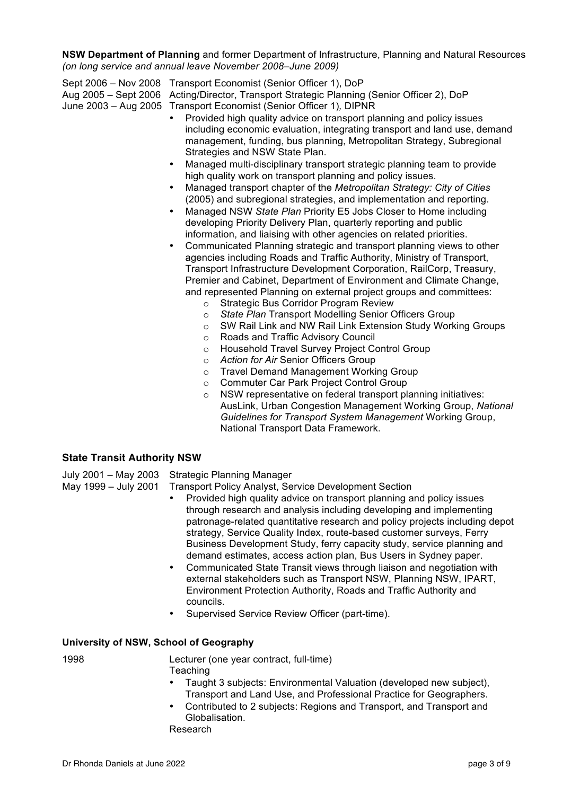**NSW Department of Planning** and former Department of Infrastructure, Planning and Natural Resources *(on long service and annual leave November 2008–June 2009)*

Sept 2006 – Nov 2008 Transport Economist (Senior Officer 1), DoP Aug 2005 – Sept 2006 Acting/Director, Transport Strategic Planning (Senior Officer 2), DoP June 2003 – Aug 2005 Transport Economist (Senior Officer 1)*,* DIPNR

- Provided high quality advice on transport planning and policy issues including economic evaluation, integrating transport and land use, demand management, funding, bus planning, Metropolitan Strategy, Subregional Strategies and NSW State Plan.
- Managed multi-disciplinary transport strategic planning team to provide high quality work on transport planning and policy issues.
- Managed transport chapter of the *Metropolitan Strategy: City of Cities*  (2005) and subregional strategies, and implementation and reporting.
- Managed NSW *State Plan* Priority E5 Jobs Closer to Home including developing Priority Delivery Plan, quarterly reporting and public information, and liaising with other agencies on related priorities.
- Communicated Planning strategic and transport planning views to other agencies including Roads and Traffic Authority, Ministry of Transport, Transport Infrastructure Development Corporation, RailCorp, Treasury, Premier and Cabinet, Department of Environment and Climate Change, and represented Planning on external project groups and committees:
	- o Strategic Bus Corridor Program Review
	- o *State Plan* Transport Modelling Senior Officers Group
	- o SW Rail Link and NW Rail Link Extension Study Working Groups
	- o Roads and Traffic Advisory Council
	- o Household Travel Survey Project Control Group
	- o *Action for Air* Senior Officers Group
	- o Travel Demand Management Working Group
	- o Commuter Car Park Project Control Group
	- o NSW representative on federal transport planning initiatives: AusLink, Urban Congestion Management Working Group, *National Guidelines for Transport System Management* Working Group, National Transport Data Framework.

#### **State Transit Authority NSW**

July 2001 – May 2003 Strategic Planning Manager May 1999 – July 2001 Transport Policy Analyst, Service Development Section

- Provided high quality advice on transport planning and policy issues through research and analysis including developing and implementing patronage-related quantitative research and policy projects including depot strategy, Service Quality Index, route-based customer surveys, Ferry Business Development Study, ferry capacity study, service planning and demand estimates, access action plan, Bus Users in Sydney paper.
- Communicated State Transit views through liaison and negotiation with external stakeholders such as Transport NSW, Planning NSW, IPART, Environment Protection Authority, Roads and Traffic Authority and councils.
- Supervised Service Review Officer (part-time).

#### **University of NSW, School of Geography**

1998 Lecturer (one year contract, full-time)

**Teaching** 

- Taught 3 subjects: Environmental Valuation (developed new subject), Transport and Land Use, and Professional Practice for Geographers.
- Contributed to 2 subjects: Regions and Transport, and Transport and Globalisation.

Research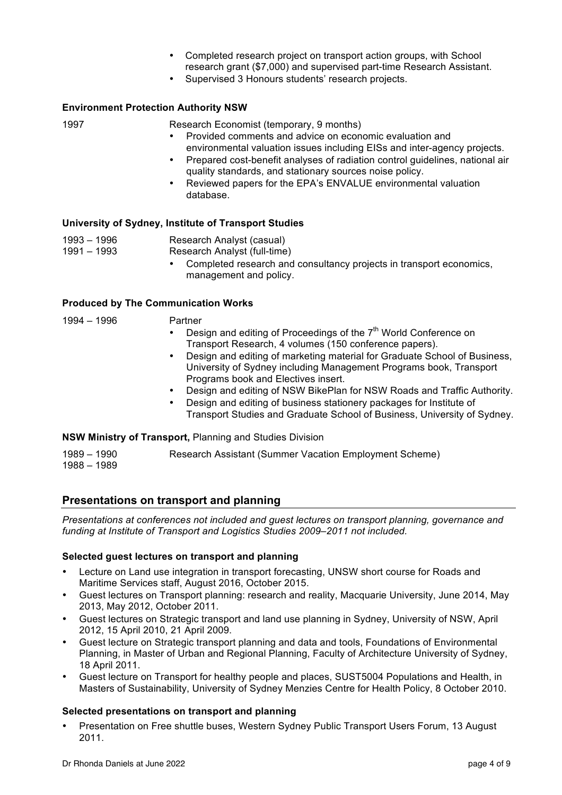- Completed research project on transport action groups, with School research grant (\$7,000) and supervised part-time Research Assistant.
- Supervised 3 Honours students' research projects.

#### **Environment Protection Authority NSW**

1997 Research Economist (temporary, 9 months)

- Provided comments and advice on economic evaluation and environmental valuation issues including EISs and inter-agency projects.
- Prepared cost-benefit analyses of radiation control guidelines, national air quality standards, and stationary sources noise policy.
- Reviewed papers for the EPA's ENVALUE environmental valuation database.

#### **University of Sydney, Institute of Transport Studies**

- 1993 1996 Research Analyst (casual)
- 1991 1993 Research Analyst (full-time)
	- Completed research and consultancy projects in transport economics, management and policy.

#### **Produced by The Communication Works**

#### 1994 – 1996 Partner

- Design and editing of Proceedings of the  $7<sup>th</sup>$  World Conference on Transport Research, 4 volumes (150 conference papers).
- Design and editing of marketing material for Graduate School of Business, University of Sydney including Management Programs book, Transport Programs book and Electives insert.
- Design and editing of NSW BikePlan for NSW Roads and Traffic Authority.
- Design and editing of business stationery packages for Institute of Transport Studies and Graduate School of Business, University of Sydney.

#### **NSW Ministry of Transport,** Planning and Studies Division

- 1989 1990 Research Assistant (Summer Vacation Employment Scheme) 1988 – 1989
- 

# **Presentations on transport and planning**

*Presentations at conferences not included and guest lectures on transport planning, governance and funding at Institute of Transport and Logistics Studies 2009–2011 not included.*

#### **Selected guest lectures on transport and planning**

- Lecture on Land use integration in transport forecasting, UNSW short course for Roads and Maritime Services staff, August 2016, October 2015.
- Guest lectures on Transport planning: research and reality, Macquarie University, June 2014, May 2013, May 2012, October 2011.
- Guest lectures on Strategic transport and land use planning in Sydney, University of NSW, April 2012, 15 April 2010, 21 April 2009.
- Guest lecture on Strategic transport planning and data and tools, Foundations of Environmental Planning, in Master of Urban and Regional Planning, Faculty of Architecture University of Sydney, 18 April 2011.
- Guest lecture on Transport for healthy people and places, SUST5004 Populations and Health, in Masters of Sustainability, University of Sydney Menzies Centre for Health Policy, 8 October 2010.

# **Selected presentations on transport and planning**

• Presentation on Free shuttle buses, Western Sydney Public Transport Users Forum, 13 August 2011.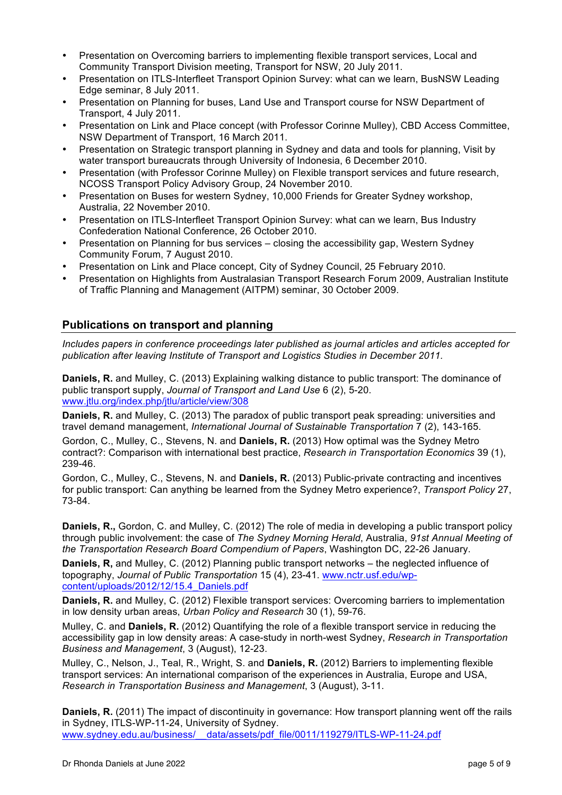- Presentation on Overcoming barriers to implementing flexible transport services, Local and Community Transport Division meeting, Transport for NSW, 20 July 2011.
- Presentation on ITLS-Interfleet Transport Opinion Survey: what can we learn, BusNSW Leading Edge seminar, 8 July 2011.
- Presentation on Planning for buses, Land Use and Transport course for NSW Department of Transport, 4 July 2011.
- Presentation on Link and Place concept (with Professor Corinne Mulley), CBD Access Committee, NSW Department of Transport, 16 March 2011.
- Presentation on Strategic transport planning in Sydney and data and tools for planning, Visit by water transport bureaucrats through University of Indonesia, 6 December 2010.
- Presentation (with Professor Corinne Mulley) on Flexible transport services and future research, NCOSS Transport Policy Advisory Group, 24 November 2010.
- Presentation on Buses for western Sydney, 10,000 Friends for Greater Sydney workshop, Australia, 22 November 2010.
- Presentation on ITLS-Interfleet Transport Opinion Survey: what can we learn, Bus Industry Confederation National Conference, 26 October 2010.
- Presentation on Planning for bus services closing the accessibility gap, Western Sydney Community Forum, 7 August 2010.
- Presentation on Link and Place concept, City of Sydney Council, 25 February 2010.
- Presentation on Highlights from Australasian Transport Research Forum 2009, Australian Institute of Traffic Planning and Management (AITPM) seminar, 30 October 2009.

# **Publications on transport and planning**

*Includes papers in conference proceedings later published as journal articles and articles accepted for publication after leaving Institute of Transport and Logistics Studies in December 2011.* 

**Daniels, R.** and Mulley, C. (2013) Explaining walking distance to public transport: The dominance of public transport supply, *Journal of Transport and Land Use* 6 (2), 5-20. www.jtlu.org/index.php/jtlu/article/view/308

**Daniels, R.** and Mulley, C. (2013) The paradox of public transport peak spreading: universities and travel demand management, *International Journal of Sustainable Transportation* 7 (2), 143*-*165.

Gordon, C., Mulley, C., Stevens, N. and **Daniels, R.** (2013) How optimal was the Sydney Metro contract?: Comparison with international best practice, *Research in Transportation Economics* 39 (1), 239-46.

Gordon, C., Mulley, C., Stevens, N. and **Daniels, R.** (2013) Public-private contracting and incentives for public transport: Can anything be learned from the Sydney Metro experience?, *Transport Policy* 27, 73-84.

**Daniels, R.,** Gordon, C. and Mulley, C. (2012) The role of media in developing a public transport policy through public involvement: the case of *The Sydney Morning Herald*, Australia, *91st Annual Meeting of the Transportation Research Board Compendium of Papers*, Washington DC, 22-26 January.

**Daniels, R,** and Mulley, C. (2012) Planning public transport networks – the neglected influence of topography, *Journal of Public Transportation* 15 (4), 23-41. www.nctr.usf.edu/wpcontent/uploads/2012/12/15.4\_Daniels.pdf

**Daniels, R.** and Mulley, C. (2012) Flexible transport services: Overcoming barriers to implementation in low density urban areas, *Urban Policy and Research* 30 (1), 59-76.

Mulley, C. and **Daniels, R.** (2012) Quantifying the role of a flexible transport service in reducing the accessibility gap in low density areas: A case-study in north-west Sydney, *Research in Transportation Business and Management*, 3 (August), 12-23.

Mulley, C., Nelson, J., Teal, R., Wright, S. and **Daniels, R.** (2012) Barriers to implementing flexible transport services: An international comparison of the experiences in Australia, Europe and USA, *Research in Transportation Business and Management*, 3 (August), 3-11.

**Daniels, R.** (2011) The impact of discontinuity in governance: How transport planning went off the rails in Sydney, ITLS-WP-11-24, University of Sydney. www.sydney.edu.au/business/\_\_data/assets/pdf\_file/0011/119279/ITLS-WP-11-24.pdf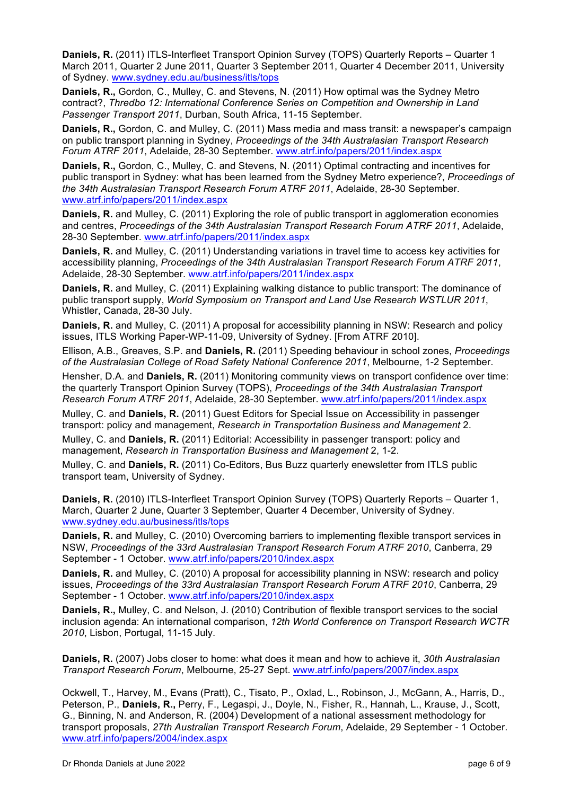**Daniels, R.** (2011) ITLS-Interfleet Transport Opinion Survey (TOPS) Quarterly Reports – Quarter 1 March 2011, Quarter 2 June 2011, Quarter 3 September 2011, Quarter 4 December 2011, University of Sydney. www.sydney.edu.au/business/itls/tops

**Daniels, R.,** Gordon, C., Mulley, C. and Stevens, N. (2011) How optimal was the Sydney Metro contract?, *Thredbo 12: International Conference Series on Competition and Ownership in Land Passenger Transport 2011*, Durban, South Africa, 11-15 September.

**Daniels, R.,** Gordon, C. and Mulley, C. (2011) Mass media and mass transit: a newspaper's campaign on public transport planning in Sydney, *Proceedings of the 34th Australasian Transport Research Forum ATRF 2011*, Adelaide, 28-30 September. www.atrf.info/papers/2011/index.aspx

**Daniels, R.,** Gordon, C., Mulley, C. and Stevens, N. (2011) Optimal contracting and incentives for public transport in Sydney: what has been learned from the Sydney Metro experience?, *Proceedings of the 34th Australasian Transport Research Forum ATRF 2011*, Adelaide, 28-30 September. www.atrf.info/papers/2011/index.aspx

**Daniels, R.** and Mulley, C. (2011) Exploring the role of public transport in agglomeration economies and centres, *Proceedings of the 34th Australasian Transport Research Forum ATRF 2011*, Adelaide, 28-30 September. www.atrf.info/papers/2011/index.aspx

**Daniels, R.** and Mulley, C. (2011) Understanding variations in travel time to access key activities for accessibility planning, *Proceedings of the 34th Australasian Transport Research Forum ATRF 2011*, Adelaide, 28-30 September. www.atrf.info/papers/2011/index.aspx

**Daniels, R.** and Mulley, C. (2011) Explaining walking distance to public transport: The dominance of public transport supply, *World Symposium on Transport and Land Use Research WSTLUR 2011*, Whistler, Canada, 28-30 July.

**Daniels, R.** and Mulley, C. (2011) A proposal for accessibility planning in NSW: Research and policy issues, ITLS Working Paper-WP-11-09, University of Sydney. [From ATRF 2010].

Ellison, A.B., Greaves, S.P. and **Daniels, R.** (2011) Speeding behaviour in school zones, *Proceedings of the Australasian College of Road Safety National Conference 2011*, Melbourne, 1-2 September.

Hensher, D.A. and **Daniels, R.** (2011) Monitoring community views on transport confidence over time: the quarterly Transport Opinion Survey (TOPS), *Proceedings of the 34th Australasian Transport Research Forum ATRF 2011*, Adelaide, 28-30 September. www.atrf.info/papers/2011/index.aspx

Mulley, C. and **Daniels, R.** (2011) Guest Editors for Special Issue on Accessibility in passenger transport: policy and management, *Research in Transportation Business and Management* 2.

Mulley, C. and **Daniels, R.** (2011) Editorial: Accessibility in passenger transport: policy and management, *Research in Transportation Business and Management* 2, 1-2.

Mulley, C. and **Daniels, R.** (2011) Co-Editors, Bus Buzz quarterly enewsletter from ITLS public transport team, University of Sydney.

**Daniels, R.** (2010) ITLS-Interfleet Transport Opinion Survey (TOPS) Quarterly Reports – Quarter 1, March, Quarter 2 June, Quarter 3 September, Quarter 4 December, University of Sydney. www.sydney.edu.au/business/itls/tops

**Daniels, R.** and Mulley, C. (2010) Overcoming barriers to implementing flexible transport services in NSW, *Proceedings of the 33rd Australasian Transport Research Forum ATRF 2010*, Canberra, 29 September - 1 October. www.atrf.info/papers/2010/index.aspx

**Daniels, R.** and Mulley, C. (2010) A proposal for accessibility planning in NSW: research and policy issues, *Proceedings of the 33rd Australasian Transport Research Forum ATRF 2010*, Canberra, 29 September - 1 October. www.atrf.info/papers/2010/index.aspx

**Daniels, R.,** Mulley, C. and Nelson, J. (2010) Contribution of flexible transport services to the social inclusion agenda: An international comparison, *12th World Conference on Transport Research WCTR 2010*, Lisbon, Portugal, 11-15 July.

**Daniels, R.** (2007) Jobs closer to home: what does it mean and how to achieve it, *30th Australasian Transport Research Forum*, Melbourne, 25-27 Sept. www.atrf.info/papers/2007/index.aspx

Ockwell, T., Harvey, M., Evans (Pratt), C., Tisato, P., Oxlad, L., Robinson, J., McGann, A., Harris, D., Peterson, P., **Daniels, R.,** Perry, F., Legaspi, J., Doyle, N., Fisher, R., Hannah, L., Krause, J., Scott, G., Binning, N. and Anderson, R. (2004) Development of a national assessment methodology for transport proposals, *27th Australian Transport Research Forum*, Adelaide, 29 September - 1 October. www.atrf.info/papers/2004/index.aspx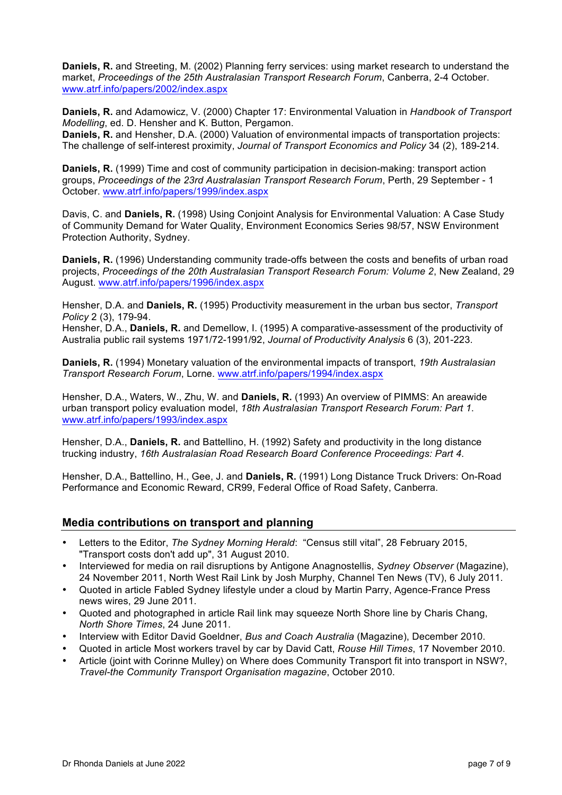**Daniels, R.** and Streeting, M. (2002) Planning ferry services: using market research to understand the market, *Proceedings of the 25th Australasian Transport Research Forum*, Canberra, 2-4 October. www.atrf.info/papers/2002/index.aspx

**Daniels, R.** and Adamowicz, V. (2000) Chapter 17: Environmental Valuation in *Handbook of Transport Modelling*, ed. D. Hensher and K. Button, Pergamon.

**Daniels, R.** and Hensher, D.A. (2000) Valuation of environmental impacts of transportation projects: The challenge of self-interest proximity, *Journal of Transport Economics and Policy* 34 (2), 189-214.

**Daniels, R.** (1999) Time and cost of community participation in decision-making: transport action groups, *Proceedings of the 23rd Australasian Transport Research Forum*, Perth, 29 September - 1 October. www.atrf.info/papers/1999/index.aspx

Davis, C. and **Daniels, R.** (1998) Using Conjoint Analysis for Environmental Valuation: A Case Study of Community Demand for Water Quality, Environment Economics Series 98/57, NSW Environment Protection Authority, Sydney.

**Daniels, R.** (1996) Understanding community trade-offs between the costs and benefits of urban road projects, *Proceedings of the 20th Australasian Transport Research Forum: Volume 2*, New Zealand, 29 August. www.atrf.info/papers/1996/index.aspx

Hensher, D.A. and **Daniels, R.** (1995) Productivity measurement in the urban bus sector, *Transport Policy* 2 (3), 179-94.

Hensher, D.A., **Daniels, R.** and Demellow, I. (1995) A comparative-assessment of the productivity of Australia public rail systems 1971/72-1991/92, *Journal of Productivity Analysis* 6 (3), 201-223.

**Daniels, R.** (1994) Monetary valuation of the environmental impacts of transport, *19th Australasian Transport Research Forum*, Lorne. www.atrf.info/papers/1994/index.aspx

Hensher, D.A., Waters, W., Zhu, W. and **Daniels, R.** (1993) An overview of PIMMS: An areawide urban transport policy evaluation model, *18th Australasian Transport Research Forum: Part 1*. www.atrf.info/papers/1993/index.aspx

Hensher, D.A., **Daniels, R.** and Battellino, H. (1992) Safety and productivity in the long distance trucking industry, *16th Australasian Road Research Board Conference Proceedings: Part 4*.

Hensher, D.A., Battellino, H., Gee, J. and **Daniels, R.** (1991) Long Distance Truck Drivers: On-Road Performance and Economic Reward, CR99, Federal Office of Road Safety, Canberra.

# **Media contributions on transport and planning**

- Letters to the Editor, *The Sydney Morning Herald*: "Census still vital", 28 February 2015, "Transport costs don't add up", 31 August 2010.
- Interviewed for media on rail disruptions by Antigone Anagnostellis, *Sydney Observer* (Magazine), 24 November 2011, North West Rail Link by Josh Murphy, Channel Ten News (TV), 6 July 2011.
- Quoted in article Fabled Sydney lifestyle under a cloud by Martin Parry, Agence-France Press news wires, 29 June 2011.
- Quoted and photographed in article Rail link may squeeze North Shore line by Charis Chang, *North Shore Times*, 24 June 2011.
- Interview with Editor David Goeldner, *Bus and Coach Australia* (Magazine), December 2010.
- Quoted in article Most workers travel by car by David Catt, *Rouse Hill Times*, 17 November 2010.
- Article (joint with Corinne Mulley) on Where does Community Transport fit into transport in NSW?, *Travel-the Community Transport Organisation magazine*, October 2010.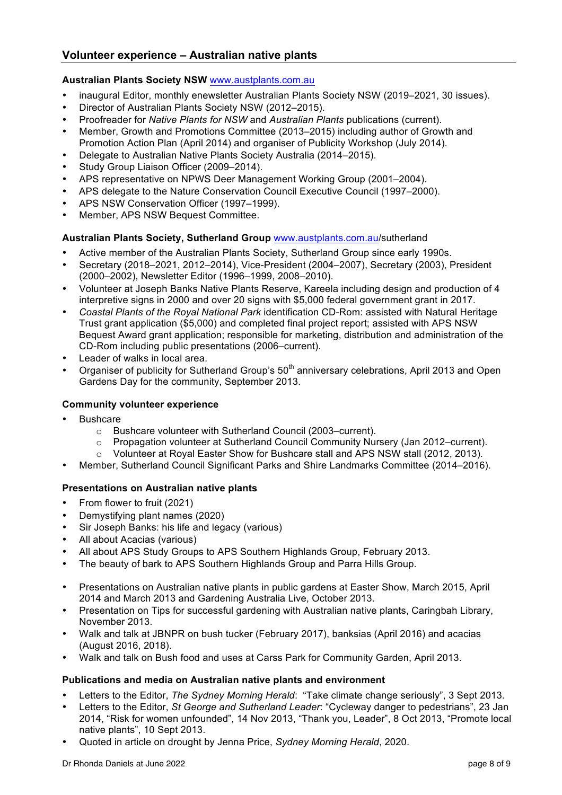# **Australian Plants Society NSW** www.austplants.com.au

- inaugural Editor, monthly enewsletter Australian Plants Society NSW (2019–2021, 30 issues).
- Director of Australian Plants Society NSW (2012–2015).
- Proofreader for *Native Plants for NSW* and *Australian Plants* publications (current).
- Member, Growth and Promotions Committee (2013–2015) including author of Growth and Promotion Action Plan (April 2014) and organiser of Publicity Workshop (July 2014).
- Delegate to Australian Native Plants Society Australia (2014–2015).
- Study Group Liaison Officer (2009–2014).
- APS representative on NPWS Deer Management Working Group (2001–2004).
- APS delegate to the Nature Conservation Council Executive Council (1997–2000).
- APS NSW Conservation Officer (1997–1999).
- Member, APS NSW Bequest Committee.

# **Australian Plants Society, Sutherland Group** www.austplants.com.au/sutherland

- Active member of the Australian Plants Society, Sutherland Group since early 1990s.
- Secretary (2018–2021, 2012–2014), Vice-President (2004–2007), Secretary (2003), President (2000–2002), Newsletter Editor (1996–1999, 2008–2010).
- Volunteer at Joseph Banks Native Plants Reserve, Kareela including design and production of 4 interpretive signs in 2000 and over 20 signs with \$5,000 federal government grant in 2017.
- *Coastal Plants of the Royal National Park* identification CD-Rom: assisted with Natural Heritage Trust grant application (\$5,000) and completed final project report; assisted with APS NSW Bequest Award grant application; responsible for marketing, distribution and administration of the CD-Rom including public presentations (2006–current).
- Leader of walks in local area.
- Organiser of publicity for Sutherland Group's 50<sup>th</sup> anniversary celebrations, April 2013 and Open Gardens Day for the community, September 2013.

# **Community volunteer experience**

- **Bushcare** 
	- o Bushcare volunteer with Sutherland Council (2003–current).
	- o Propagation volunteer at Sutherland Council Community Nursery (Jan 2012–current).
	- o Volunteer at Royal Easter Show for Bushcare stall and APS NSW stall (2012, 2013).
	- Member, Sutherland Council Significant Parks and Shire Landmarks Committee (2014–2016).

# **Presentations on Australian native plants**

- From flower to fruit (2021)
- Demystifying plant names (2020)
- Sir Joseph Banks: his life and legacy (various)
- All about Acacias (various)
- All about APS Study Groups to APS Southern Highlands Group, February 2013.
- The beauty of bark to APS Southern Highlands Group and Parra Hills Group.
- Presentations on Australian native plants in public gardens at Easter Show, March 2015, April 2014 and March 2013 and Gardening Australia Live, October 2013.
- Presentation on Tips for successful gardening with Australian native plants, Caringbah Library, November 2013.
- Walk and talk at JBNPR on bush tucker (February 2017), banksias (April 2016) and acacias (August 2016, 2018).
- Walk and talk on Bush food and uses at Carss Park for Community Garden, April 2013.

# **Publications and media on Australian native plants and environment**

- Letters to the Editor, *The Sydney Morning Herald*: "Take climate change seriously", 3 Sept 2013.
- Letters to the Editor, *St George and Sutherland Leader*: "Cycleway danger to pedestrians", 23 Jan 2014, "Risk for women unfounded", 14 Nov 2013, "Thank you, Leader", 8 Oct 2013, "Promote local native plants", 10 Sept 2013.
- Quoted in article on drought by Jenna Price, *Sydney Morning Herald*, 2020.